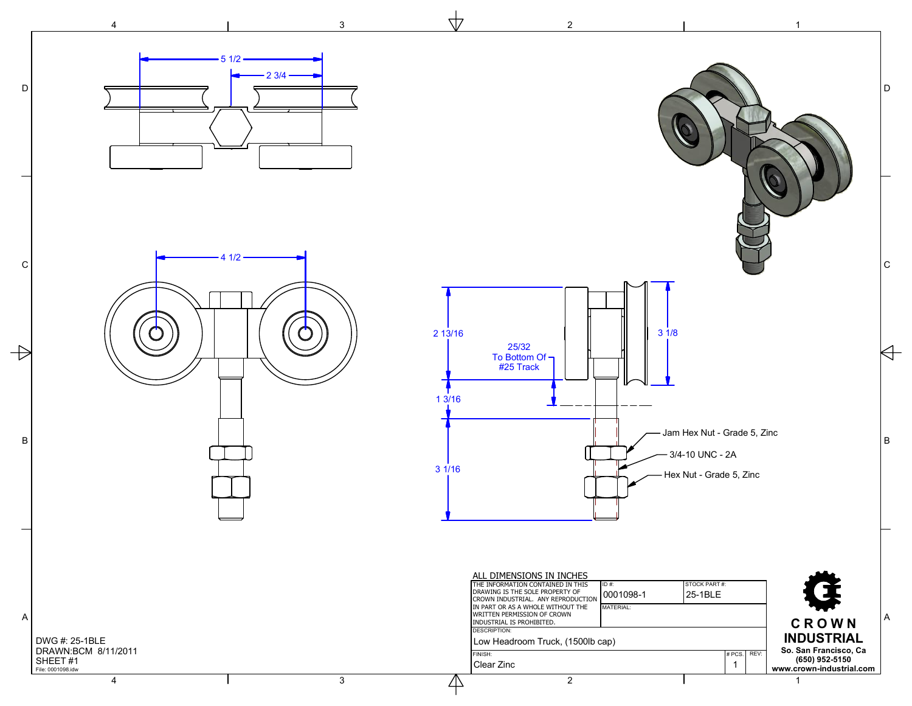